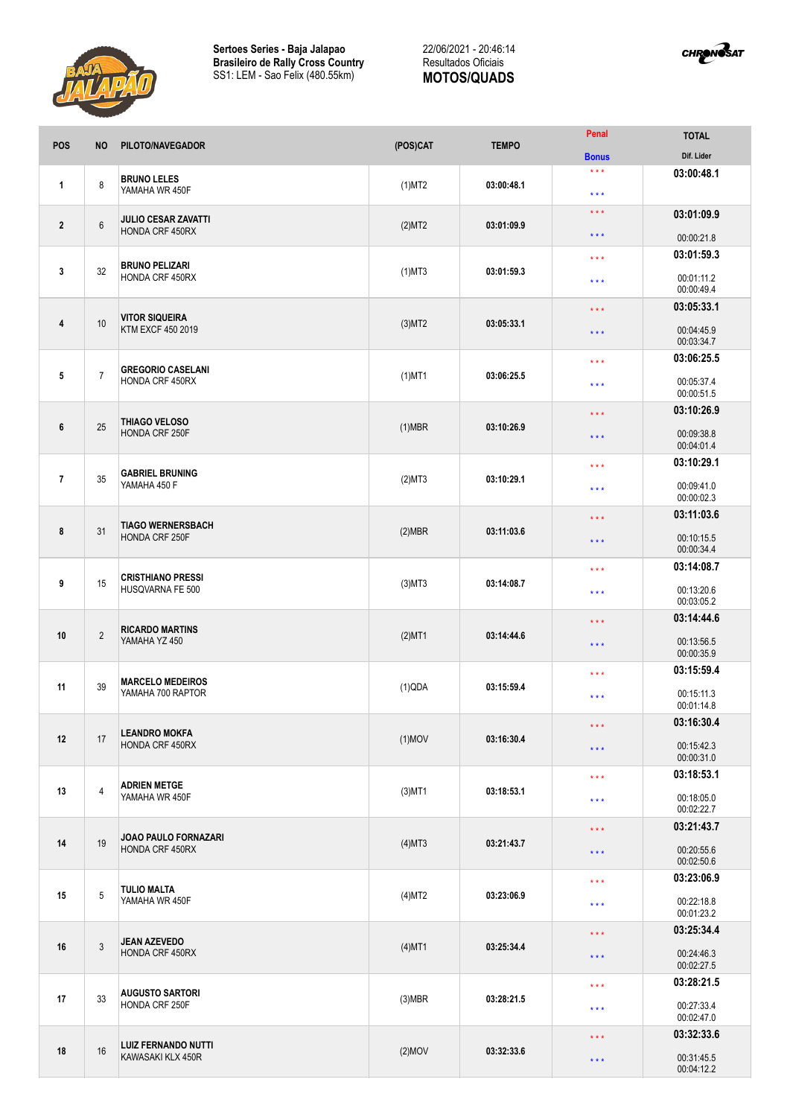



| <b>POS</b>     | <b>NO</b>      | PILOTO/NAVEGADOR                                | (POS)CAT  | <b>TEMPO</b> | Penal                   | <b>TOTAL</b>             |
|----------------|----------------|-------------------------------------------------|-----------|--------------|-------------------------|--------------------------|
|                |                |                                                 |           |              | <b>Bonus</b>            | Dif. Lider               |
| 1              | 8              | <b>BRUNO LELES</b><br>YAMAHA WR 450F            | $(1)$ MT2 | 03:00:48.1   | $***$<br>$***$          | 03:00:48.1               |
|                | $6\,$          | <b>JULIO CESAR ZAVATTI</b><br>HONDA CRF 450RX   | (2)MT2    | 03:01:09.9   | $\star$ $\star$ $\star$ | 03:01:09.9               |
| $\mathbf{2}$   |                |                                                 |           |              | $***$                   | 00:00:21.8               |
|                |                | <b>BRUNO PELIZARI</b><br>HONDA CRF 450RX        | $(1)$ MT3 | 03:01:59.3   | $***$                   | 03:01:59.3               |
| $\mathbf{3}$   | 32             |                                                 |           |              | $***$                   | 00:01:11.2<br>00:00:49.4 |
|                | 10             | <b>VITOR SIQUEIRA</b><br>KTM EXCF 450 2019      | $(3)$ MT2 | 03:05:33.1   | $***$                   | 03:05:33.1               |
| 4              |                |                                                 |           |              | $\star$ $\star$ $\star$ | 00:04:45.9<br>00:03:34.7 |
|                |                | <b>GREGORIO CASELANI</b><br>HONDA CRF 450RX     | $(1)$ MT1 | 03:06:25.5   | $***$                   | 03:06:25.5               |
| 5              | $\overline{7}$ |                                                 |           |              | $***$                   | 00:05:37.4<br>00:00:51.5 |
|                |                |                                                 | $(1)$ MBR | 03:10:26.9   | $***$                   | 03:10:26.9               |
| 6              | 25             | THIAGO VELOSO<br>HONDA CRF 250F                 |           |              | $\star$ $\star$ $\star$ | 00:09:38.8<br>00:04:01.4 |
|                |                |                                                 |           |              | $\star\star\star$       | 03:10:29.1               |
| $\overline{1}$ | 35             | <b>GABRIEL BRUNING</b><br>YAMAHA 450 F          | (2)MT3    | 03:10:29.1   | $***$                   | 00:09:41.0<br>00:00:02.3 |
|                |                | <b>TIAGO WERNERSBACH</b><br>HONDA CRF 250F      | $(2)$ MBR |              | $***$                   | 03:11:03.6               |
| 8              | 31             |                                                 |           | 03:11:03.6   | $\star$ $\star$ $\star$ | 00:10:15.5<br>00:00:34.4 |
|                | 15             | <b>CRISTHIANO PRESSI</b><br>HUSQVARNA FE 500    | $(3)$ MT3 | 03:14:08.7   | $***$                   | 03:14:08.7               |
| 9              |                |                                                 |           |              | $\star\star\star$       | 00:13:20.6<br>00:03:05.2 |
|                | $\overline{2}$ | <b>RICARDO MARTINS</b><br>YAMAHA YZ 450         | $(2)$ MT1 | 03:14:44.6   | $\star\star\star$       | 03:14:44.6               |
| 10             |                |                                                 |           |              | $\star$ $\star$ $\star$ | 00:13:56.5               |
|                |                |                                                 |           |              |                         | 00:00:35.9               |
|                | 39             | <b>MARCELO MEDEIROS</b><br>YAMAHA 700 RAPTOR    | (1)QDA    | 03:15:59.4   | $***$                   | 03:15:59.4               |
| 11             |                |                                                 |           |              | $***$                   | 00:15:11.3<br>00:01:14.8 |
|                | 17             | <b>LEANDRO MOKFA</b><br>HONDA CRF 450RX         | $(1)$ MOV | 03:16:30.4   | $\star$ $\star$ $\star$ | 03:16:30.4               |
| 12             |                |                                                 |           |              | $***$                   | 00:15:42.3<br>00:00:31.0 |
|                | $\overline{4}$ | <b>ADRIEN METGE</b><br>YAMAHA WR 450F           | $(3)$ MT1 | 03:18:53.1   | $\star$ $\star$ $\star$ | 03:18:53.1               |
| 13             |                |                                                 |           |              | $\star$ $\star$ $\star$ | 00:18:05.0<br>00:02:22.7 |
| 14             | 19             | JOAO PAULO FORNAZARI<br>HONDA CRF 450RX         | $(4)$ MT3 | 03:21:43.7   | $\star$ $\star$ $\star$ | 03:21:43.7               |
|                |                |                                                 |           |              | $\star$ $\star$ $\star$ | 00:20:55.6<br>00:02:50.6 |
|                |                |                                                 |           |              | $***$                   | 03:23:06.9               |
| 15             | $\overline{5}$ | <b>TULIO MALTA</b><br>YAMAHA WR 450F            | $(4)$ MT2 | 03:23:06.9   | $\star$ $\star$ $\star$ | 00:22:18.8<br>00:01:23.2 |
|                | $\mathfrak{Z}$ | <b>JEAN AZEVEDO</b><br>HONDA CRF 450RX          | $(4)$ MT1 | 03:25:34.4   | $\star$ $\star$ $\star$ | 03:25:34.4               |
| 16             |                |                                                 |           |              | $\star$ $\star$ $\star$ | 00:24:46.3<br>00:02:27.5 |
| 17             | 33             | <b>AUGUSTO SARTORI</b><br>HONDA CRF 250F        | $(3)$ MBR | 03:28:21.5   | $\star$ $\star$ $\star$ | 03:28:21.5               |
|                |                |                                                 |           |              | $\star$ $\star$ $\star$ | 00:27:33.4<br>00:02:47.0 |
|                |                |                                                 |           |              | $***$                   | 03:32:33.6               |
| 18             | 16             | <b>LUIZ FERNANDO NUTTI</b><br>KAWASAKI KLX 450R | $(2)$ MOV | 03:32:33.6   | $\star$ $\star$ $\star$ | 00:31:45.5<br>00:04:12.2 |